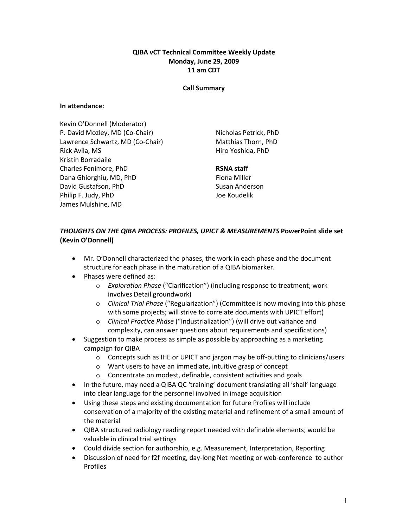## QIBA vCT Technical Committee Weekly Update Monday, June 29, 2009 11 am CDT

### Call Summary

### In attendance:

Kevin O'Donnell (Moderator) P. David Mozley, MD (Co-Chair) Lawrence Schwartz, MD (Co-Chair) Rick Avila, MS Kristin Borradaile Charles Fenimore, PhD Dana Ghiorghiu, MD, PhD David Gustafson, PhD Philip F. Judy, PhD James Mulshine, MD

Nicholas Petrick, PhD Matthias Thorn, PhD Hiro Yoshida, PhD

## RSNA staff

Fiona Miller Susan Anderson Joe Koudelik

# THOUGHTS ON THE QIBA PROCESS: PROFILES, UPICT & MEASUREMENTS PowerPoint slide set (Kevin O'Donnell)

- Mr. O'Donnell characterized the phases, the work in each phase and the document structure for each phase in the maturation of a QIBA biomarker.
- Phases were defined as:
	- o Exploration Phase ("Clarification") (including response to treatment; work involves Detail groundwork)
	- o Clinical Trial Phase ("Regularization") (Committee is now moving into this phase with some projects; will strive to correlate documents with UPICT effort)
	- o Clinical Practice Phase ("Industrialization") (will drive out variance and complexity, can answer questions about requirements and specifications)
- Suggestion to make process as simple as possible by approaching as a marketing campaign for QIBA
	- o Concepts such as IHE or UPICT and jargon may be off-putting to clinicians/users
	- o Want users to have an immediate, intuitive grasp of concept
	- o Concentrate on modest, definable, consistent activities and goals
- In the future, may need a QIBA QC 'training' document translating all 'shall' language into clear language for the personnel involved in image acquisition
- Using these steps and existing documentation for future Profiles will include conservation of a majority of the existing material and refinement of a small amount of the material
- QIBA structured radiology reading report needed with definable elements; would be valuable in clinical trial settings
- Could divide section for authorship, e.g. Measurement, Interpretation, Reporting
- Discussion of need for f2f meeting, day-long Net meeting or web-conference to author Profiles